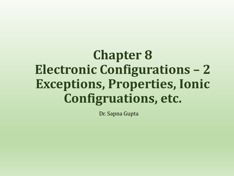# **Chapter 8 Electronic Configurations – 2 Exceptions, Properties, Ionic Configruations, etc.**

Dr. Sapna Gupta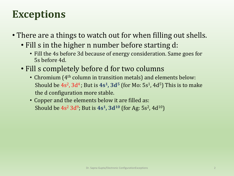## **Exceptions**

- There are a things to watch out for when filling out shells.
	- Fill s in the higher n number before starting d:
		- Fill the 4s before 3d because of energy consideration. Same goes for 5s before 4d.
	- Fill s completely before d for two columns
		- Chromium (4<sup>th</sup> column in transition metals) and elements below: Should be  $4s^2$ ,  $3d^4$ ; But is  $4s^1$ ,  $3d^5$  (for Mo:  $5s^1$ ,  $4d^5$ ) This is to make the d configuration more stable.
		- Copper and the elements below it are filled as: Should be 4s<sup>2</sup> 3d<sup>9</sup>; But is 4s<sup>1</sup>, 3d<sup>10</sup> (for Ag: 5s<sup>2</sup>, 4d<sup>10</sup>)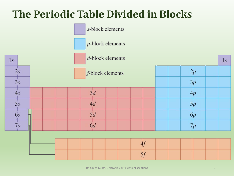#### **The Periodic Table Divided in Blocks**

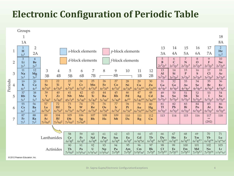#### **Electronic Configuration of Periodic Table**



@ 2012 Pearson Education, Inc.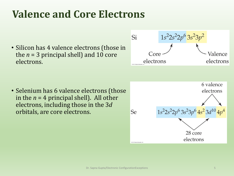# **Valence and Core Electrons**

• Silicon has 4 valence electrons (those in the  $n = 3$  principal shell) and 10 core electrons.



• Selenium has 6 valence electrons (those in the  $n = 4$  principal shell). All other electrons, including those in the 3*d* orbitals, are core electrons.

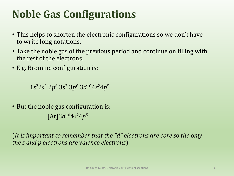# **Noble Gas Configurations**

- This helps to shorten the electronic configurations so we don't have to write long notations.
- Take the noble gas of the previous period and continue on filling with the rest of the electrons.
- E.g. Bromine configuration is:

1*s* <sup>2</sup>2*s* <sup>2</sup> 2*p* <sup>6</sup> 3*s* <sup>2</sup> 3*p* <sup>6</sup> 3*d* <sup>10</sup>4*s* <sup>2</sup>4*p* 5

• But the noble gas configuration is:  $[Ar]$ 3*d*<sup>10</sup>4*s*<sup>2</sup>4*p*<sup>5</sup>

(*It is important to remember that the "d" electrons are core so the only the s and p electrons are valence electrons*)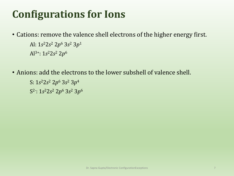# **Configurations for Ions**

- Cations: remove the valence shell electrons of the higher energy first. Al: 1*s* <sup>2</sup>2*s* <sup>2</sup> 2*p* <sup>6</sup> 3*s* <sup>2</sup> 3*p* 1 Al3+: 1*s* <sup>2</sup>2*s* <sup>2</sup> 2*p* 6
- Anions: add the electrons to the lower subshell of valence shell.
	- S: 1*s* <sup>2</sup>2*s* <sup>2</sup> 2*p* <sup>6</sup> 3*s* <sup>2</sup> 3*p* 4 S 2- : 1*s* <sup>2</sup>2*s* <sup>2</sup> 2*p* <sup>6</sup> 3*s* <sup>2</sup> 3*p* 6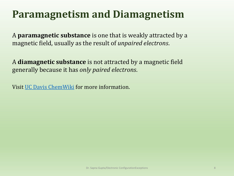#### **Paramagnetism and Diamagnetism**

A **paramagnetic substance** is one that is weakly attracted by a magnetic field, usually as the result of *unpaired electrons*.

A **diamagnetic substance** is not attracted by a magnetic field generally because it has *only paired electrons*.

Visit [UC Davis ChemWiki](http://chemwiki.ucdavis.edu/Inorganic_Chemistry/Descriptive_Chemistry/Periodic_Table_of_the_Elements/Magnetic_Properties) for more information.